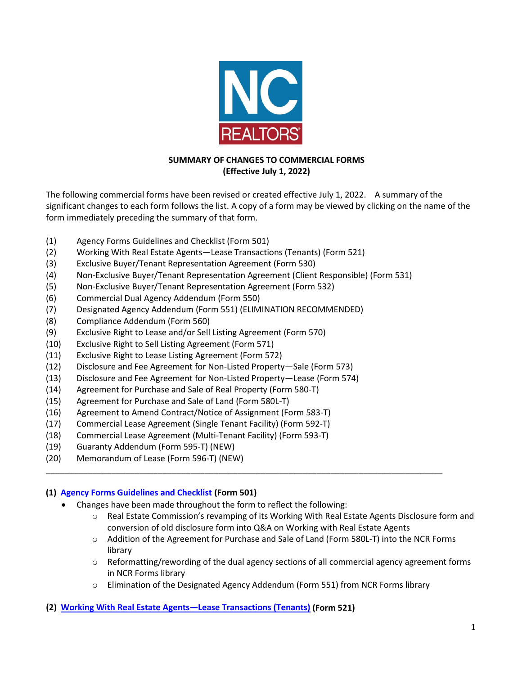

# **SUMMARY OF CHANGES TO COMMERCIAL FORMS (Effective July 1, 2022)**

The following commercial forms have been revised or created effective July 1, 2022. A summary of the significant changes to each form follows the list. A copy of a form may be viewed by clicking on the name of the form immediately preceding the summary of that form.

- (1) Agency Forms Guidelines and Checklist (Form 501)
- (2) Working With Real Estate Agents—Lease Transactions (Tenants) (Form 521)
- (3) Exclusive Buyer/Tenant Representation Agreement (Form 530)
- (4) Non-Exclusive Buyer/Tenant Representation Agreement (Client Responsible) (Form 531)
- (5) Non-Exclusive Buyer/Tenant Representation Agreement (Form 532)
- (6) Commercial Dual Agency Addendum (Form 550)
- (7) Designated Agency Addendum (Form 551) (ELIMINATION RECOMMENDED)
- (8) Compliance Addendum (Form 560)
- (9) Exclusive Right to Lease and/or Sell Listing Agreement (Form 570)
- (10) Exclusive Right to Sell Listing Agreement (Form 571)
- (11) Exclusive Right to Lease Listing Agreement (Form 572)
- (12) Disclosure and Fee Agreement for Non-Listed Property—Sale (Form 573)
- (13) Disclosure and Fee Agreement for Non-Listed Property—Lease (Form 574)
- (14) Agreement for Purchase and Sale of Real Property (Form 580-T)
- (15) Agreement for Purchase and Sale of Land (Form 580L-T)
- (16) Agreement to Amend Contract/Notice of Assignment (Form 583-T)
- (17) Commercial Lease Agreement (Single Tenant Facility) (Form 592-T)
- (18) Commercial Lease Agreement (Multi-Tenant Facility) (Form 593-T)
- (19) Guaranty Addendum (Form 595-T) (NEW)
- (20) Memorandum of Lease (Form 596-T) (NEW)

# **(1) [Agency Forms Guidelines and Checklist](https://www.ncrealtors.org/wp-content/uploads/markedup0722-501.pdf) (Form 501)**

- Changes have been made throughout the form to reflect the following:
	- o Real Estate Commission's revamping of its Working With Real Estate Agents Disclosure form and conversion of old disclosure form into Q&A on Working with Real Estate Agents
	- o Addition of the Agreement for Purchase and Sale of Land (Form 580L-T) into the NCR Forms library
	- o Reformatting/rewording of the dual agency sections of all commercial agency agreement forms in NCR Forms library
	- o Elimination of the Designated Agency Addendum (Form 551) from NCR Forms library

\_\_\_\_\_\_\_\_\_\_\_\_\_\_\_\_\_\_\_\_\_\_\_\_\_\_\_\_\_\_\_\_\_\_\_\_\_\_\_\_\_\_\_\_\_\_\_\_\_\_\_\_\_\_\_\_\_\_\_\_\_\_\_\_\_\_\_\_\_\_\_\_\_\_\_\_\_\_\_\_\_\_\_\_\_

# **(2) [Working With Real Estate Agents—Lease Transactions \(Tenants\)](https://www.ncrealtors.org/wp-content/uploads/markedup0722-521tenant.pdf) (Form 521)**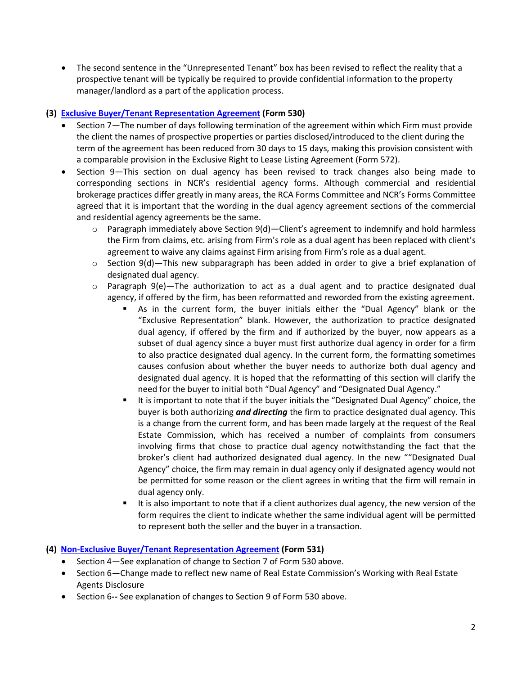• The second sentence in the "Unrepresented Tenant" box has been revised to reflect the reality that a prospective tenant will be typically be required to provide confidential information to the property manager/landlord as a part of the application process.

### **(3) [Exclusive Buyer/Tenant Representation Agreement](https://www.ncrealtors.org/wp-content/uploads/markedup0722-530.pdf) (Form 530)**

- Section 7—The number of days following termination of the agreement within which Firm must provide the client the names of prospective properties or parties disclosed/introduced to the client during the term of the agreement has been reduced from 30 days to 15 days, making this provision consistent with a comparable provision in the Exclusive Right to Lease Listing Agreement (Form 572).
- Section 9—This section on dual agency has been revised to track changes also being made to corresponding sections in NCR's residential agency forms. Although commercial and residential brokerage practices differ greatly in many areas, the RCA Forms Committee and NCR's Forms Committee agreed that it is important that the wording in the dual agency agreement sections of the commercial and residential agency agreements be the same.
	- $\circ$  Paragraph immediately above Section 9(d) Client's agreement to indemnify and hold harmless the Firm from claims, etc. arising from Firm's role as a dual agent has been replaced with client's agreement to waive any claims against Firm arising from Firm's role as a dual agent.
	- $\circ$  Section 9(d)—This new subparagraph has been added in order to give a brief explanation of designated dual agency.
	- $\circ$  Paragraph 9(e)—The authorization to act as a dual agent and to practice designated dual agency, if offered by the firm, has been reformatted and reworded from the existing agreement.
		- As in the current form, the buyer initials either the "Dual Agency" blank or the "Exclusive Representation" blank. However, the authorization to practice designated dual agency, if offered by the firm and if authorized by the buyer, now appears as a subset of dual agency since a buyer must first authorize dual agency in order for a firm to also practice designated dual agency. In the current form, the formatting sometimes causes confusion about whether the buyer needs to authorize both dual agency and designated dual agency. It is hoped that the reformatting of this section will clarify the need for the buyer to initial both "Dual Agency" and "Designated Dual Agency."
		- It is important to note that if the buyer initials the "Designated Dual Agency" choice, the buyer is both authorizing *and directing* the firm to practice designated dual agency. This is a change from the current form, and has been made largely at the request of the Real Estate Commission, which has received a number of complaints from consumers involving firms that chose to practice dual agency notwithstanding the fact that the broker's client had authorized designated dual agency. In the new ""Designated Dual Agency" choice, the firm may remain in dual agency only if designated agency would not be permitted for some reason or the client agrees in writing that the firm will remain in dual agency only.
		- It is also important to note that if a client authorizes dual agency, the new version of the form requires the client to indicate whether the same individual agent will be permitted to represent both the seller and the buyer in a transaction.

# **(4) [Non-Exclusive Buyer/Tenant Representation Agreement](https://www.ncrealtors.org/wp-content/uploads/markedup0722-531.pdf) (Form 531)**

- Section 4—See explanation of change to Section 7 of Form 530 above.
- Section 6—Change made to reflect new name of Real Estate Commission's Working with Real Estate Agents Disclosure
- Section 6**--** See explanation of changes to Section 9 of Form 530 above.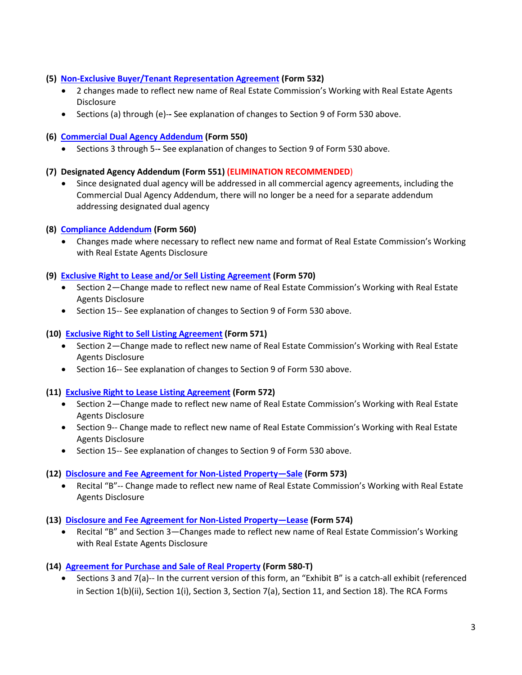- **(5) [Non-Exclusive Buyer/Tenant Representation Agreement](https://www.ncrealtors.org/wp-content/uploads/markedup0722-532.pdf) (Form 532)**
	- 2 changes made to reflect new name of Real Estate Commission's Working with Real Estate Agents Disclosure
	- Sections (a) through (e)-**-** See explanation of changes to Section 9 of Form 530 above.
- **(6) [Commercial Dual Agency Addendum](https://www.ncrealtors.org/wp-content/uploads/markedup0722-550.pdf) (Form 550)**
	- Sections 3 through 5-**-** See explanation of changes to Section 9 of Form 530 above.

### **(7) Designated Agency Addendum (Form 551) (ELIMINATION RECOMMENDED**)

• Since designated dual agency will be addressed in all commercial agency agreements, including the Commercial Dual Agency Addendum, there will no longer be a need for a separate addendum addressing designated dual agency

### **(8) [Compliance Addendum](https://www.ncrealtors.org/wp-content/uploads/markedup0722-560.pdf) (Form 560)**

• Changes made where necessary to reflect new name and format of Real Estate Commission's Working with Real Estate Agents Disclosure

#### **(9) [Exclusive Right to Lease and/or Sell Listing Agreement](https://www.ncrealtors.org/wp-content/uploads/markedup0722-570.pdf) (Form 570)**

- Section 2—Change made to reflect new name of Real Estate Commission's Working with Real Estate Agents Disclosure
- Section 15-- See explanation of changes to Section 9 of Form 530 above.

#### **(10) [Exclusive Right to Sell Listing Agreement](https://www.ncrealtors.org/wp-content/uploads/markedup0722-571.pdf) (Form 571)**

- Section 2—Change made to reflect new name of Real Estate Commission's Working with Real Estate Agents Disclosure
- Section 16-- See explanation of changes to Section 9 of Form 530 above.

#### **(11) [Exclusive Right to Lease](https://www.ncrealtors.org/wp-content/uploads/markedup0722-572.pdf) Listing Agreement (Form 572)**

- Section 2—Change made to reflect new name of Real Estate Commission's Working with Real Estate Agents Disclosure
- Section 9-- Change made to reflect new name of Real Estate Commission's Working with Real Estate Agents Disclosure
- Section 15-- See explanation of changes to Section 9 of Form 530 above.

#### **(12) [Disclosure and Fee Agreement for Non-Listed Property—Sale](https://www.ncrealtors.org/wp-content/uploads/markedup0722-573.pdf) (Form 573)**

- Recital "B"-- Change made to reflect new name of Real Estate Commission's Working with Real Estate Agents Disclosure
- **(13) Disclosure and [Fee Agreement for Non-Listed Property—Lease](https://www.ncrealtors.org/wp-content/uploads/markedup0722-574.pdf) (Form 574)**
	- Recital "B" and Section 3—Changes made to reflect new name of Real Estate Commission's Working with Real Estate Agents Disclosure

# **(14) [Agreement for Purchase and Sale of Real Property](https://www.ncrealtors.org/wp-content/uploads/markedup0722-580-T.pdf) (Form 580-T)**

• Sections 3 and 7(a)-- In the current version of this form, an "Exhibit B" is a catch-all exhibit (referenced in Section 1(b)(ii), Section 1(i), Section 3, Section 7(a), Section 11, and Section 18). The RCA Forms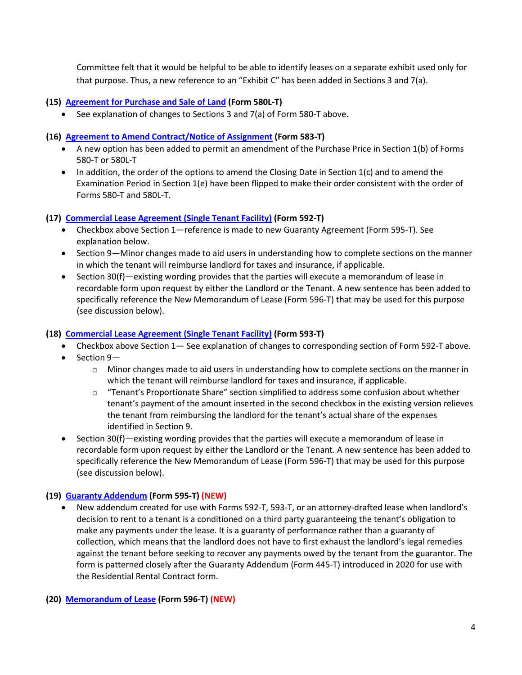Committee felt that it would be helpful to be able to identify leases on a separate exhibit used only for that purpose. Thus, a new reference to an "Exhibit C" has been added in Sections 3 and 7(a).

### **(15) [Agreement for Purchase and Sale of Land](https://www.ncrealtors.org/wp-content/uploads/markedup0722-580L-T.pdf) (Form 580L-T)**

• See explanation of changes to Sections 3 and 7(a) of Form 580-T above.

### **(16) [Agreement to Amend Contract/Notice of Assignment](https://www.ncrealtors.org/wp-content/uploads/markedup0722-583-T.pdf) (Form 583-T)**

- A new option has been added to permit an amendment of the Purchase Price in Section 1(b) of Forms 580-T or 580L-T
- In addition, the order of the options to amend the Closing Date in Section 1(c) and to amend the Examination Period in Section 1(e) have been flipped to make their order consistent with the order of Forms 580-T and 580L-T.

### **(17) [Commercial Lease Agreement \(Single Tenant Facility\)](https://www.ncrealtors.org/wp-content/uploads/markedup0722-592-T.pdf) (Form 592-T)**

- Checkbox above Section 1—reference is made to new Guaranty Agreement (Form 595-T). See explanation below.
- Section 9—Minor changes made to aid users in understanding how to complete sections on the manner in which the tenant will reimburse landlord for taxes and insurance, if applicable.
- Section 30(f)—existing wording provides that the parties will execute a memorandum of lease in recordable form upon request by either the Landlord or the Tenant. A new sentence has been added to specifically reference the New Memorandum of Lease (Form 596-T) that may be used for this purpose (see discussion below).

### **(18) [Commercial Lease Agreement \(Single Tenant Facility\)](https://www.ncrealtors.org/wp-content/uploads/markedup0722-593-T.pdf) (Form 593-T)**

- Checkbox above Section 1— See explanation of changes to corresponding section of Form 592-T above.
- Section 9—
	- $\circ$  Minor changes made to aid users in understanding how to complete sections on the manner in which the tenant will reimburse landlord for taxes and insurance, if applicable.
	- o "Tenant's Proportionate Share" section simplified to address some confusion about whether tenant's payment of the amount inserted in the second checkbox in the existing version relieves the tenant from reimbursing the landlord for the tenant's actual share of the expenses identified in Section 9.
- Section 30(f)—existing wording provides that the parties will execute a memorandum of lease in recordable form upon request by either the Landlord or the Tenant. A new sentence has been added to specifically reference the New Memorandum of Lease (Form 596-T) that may be used for this purpose (see discussion below).

# **(19) [Guaranty Addendum](https://www.ncrealtors.org/wp-content/uploads/markedup0722-595-T.pdf) (Form 595-T) (NEW)**

• New addendum created for use with Forms 592-T, 593-T, or an attorney-drafted lease when landlord's decision to rent to a tenant is a conditioned on a third party guaranteeing the tenant's obligation to make any payments under the lease. It is a guaranty of performance rather than a guaranty of collection, which means that the landlord does not have to first exhaust the landlord's legal remedies against the tenant before seeking to recover any payments owed by the tenant from the guarantor. The form is patterned closely after the Guaranty Addendum (Form 445-T) introduced in 2020 for use with the Residential Rental Contract form.

#### **(20) [Memorandum of Lease](https://www.ncrealtors.org/wp-content/uploads/markedup0722-596-T.pdf) (Form 596-T) (NEW)**